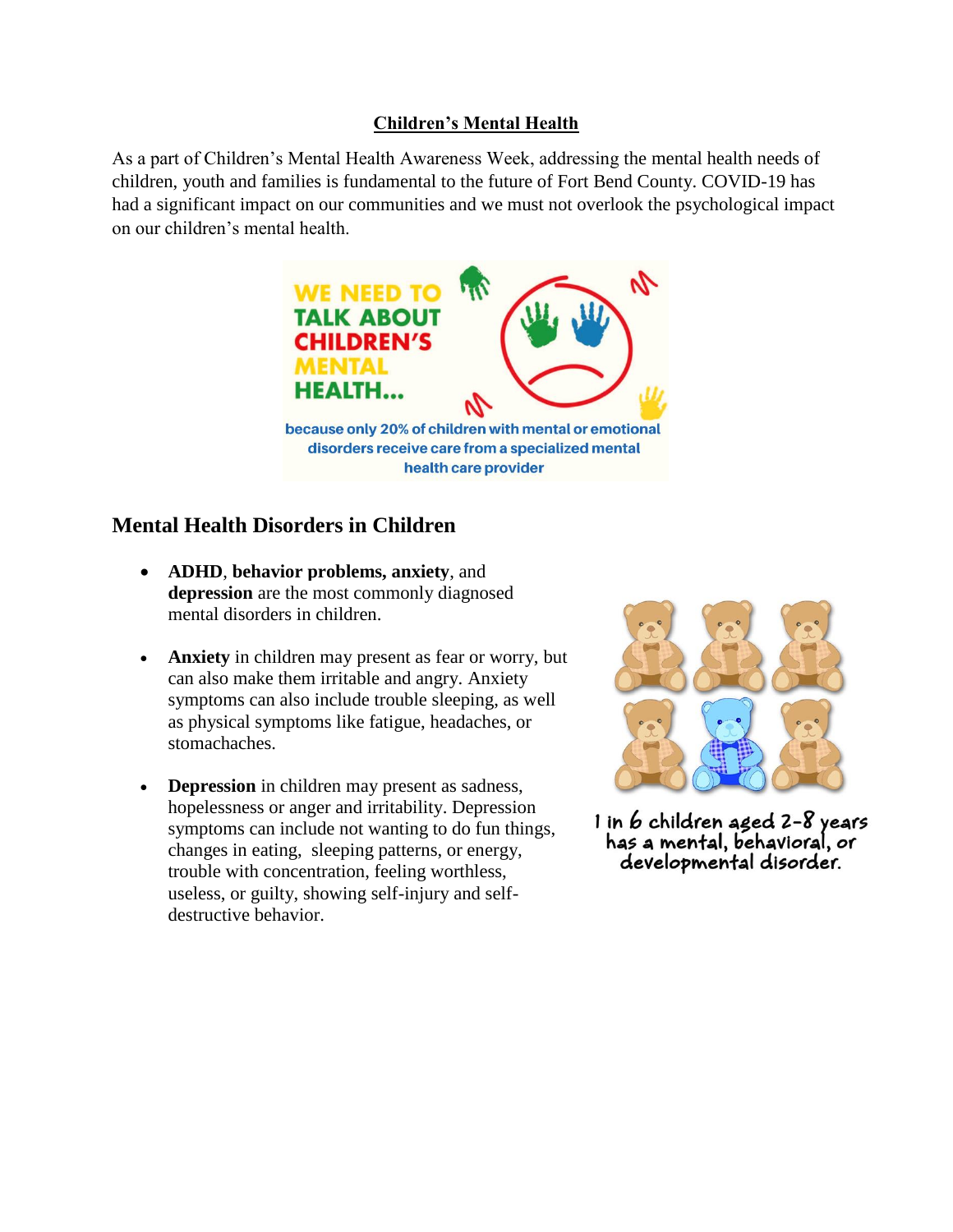### **Children's Mental Health**

As a part of Children's Mental Health Awareness Week, addressing the mental health needs of children, youth and families is fundamental to the future of Fort Bend County. COVID-19 has had a significant impact on our communities and we must not overlook the psychological impact on our children's mental health.



# **Mental Health Disorders in Children**

- **ADHD**, **behavior problems, anxiety**, and **depression** are the most commonly diagnosed mental disorders in children.
- **Anxiety** in children may present as fear or worry, but can also make them irritable and angry. Anxiety symptoms can also include trouble sleeping, as well as physical symptoms like fatigue, headaches, or stomachaches.
- **Depression** in children may present as sadness, hopelessness or anger and irritability. Depression symptoms can include not wanting to do fun things, changes in eating, sleeping patterns, or energy, trouble with concentration, feeling worthless, useless, or guilty, showing self-injury and selfdestructive behavior.



1 in 6 children aged 2-8 years has a mental, behavioral, or developmental disorder.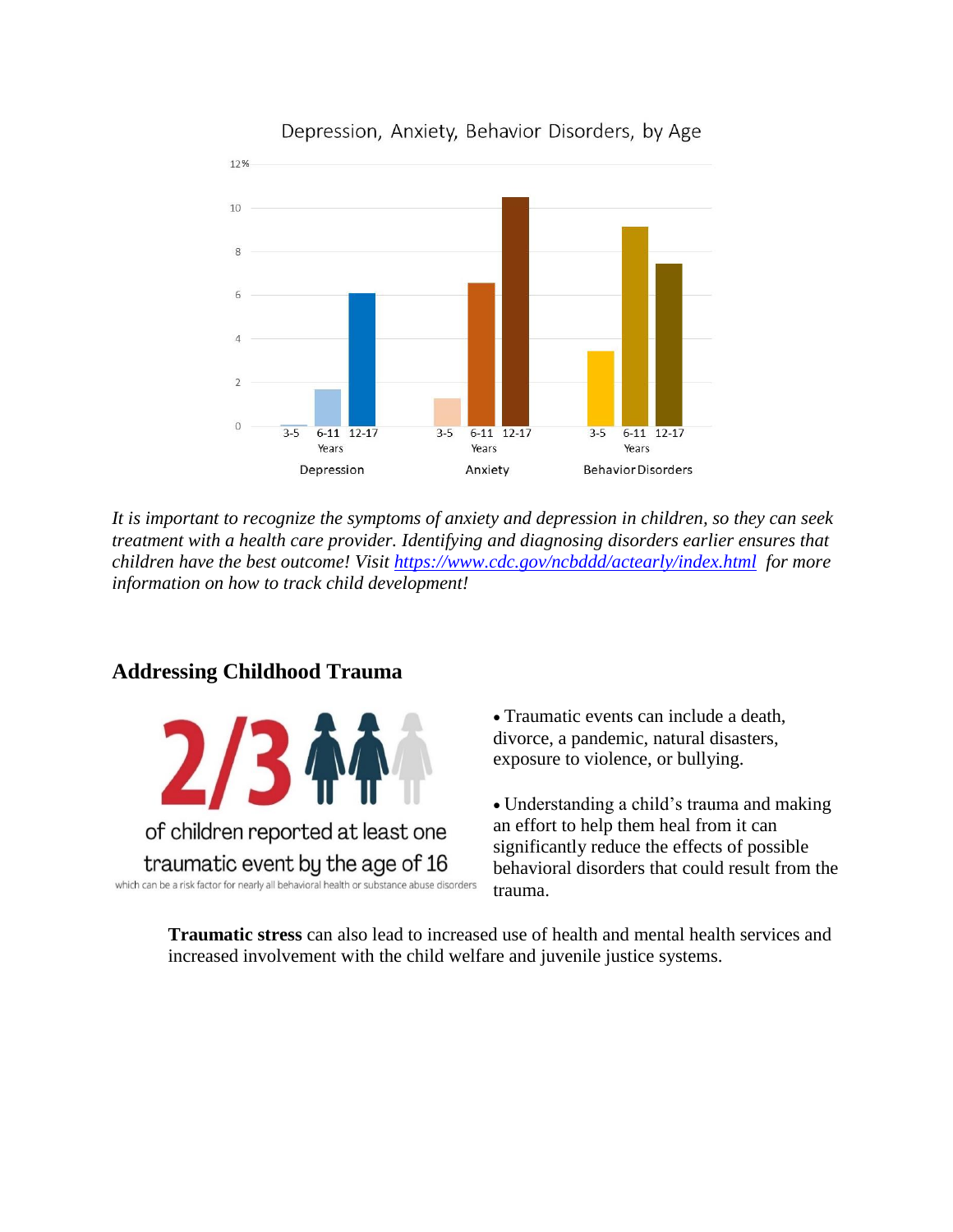

### Depression, Anxiety, Behavior Disorders, by Age

*It is important to recognize the symptoms of anxiety and depression in children, so they can seek treatment with a health care provider. Identifying and diagnosing disorders earlier ensures that children have the best outcome! Visit<https://www.cdc.gov/ncbddd/actearly/index.html>for more information on how to track child development!*

## **Addressing Childhood Trauma**



 Traumatic events can include a death, divorce, a pandemic, natural disasters, exposure to violence, or bullying.

 Understanding a child's trauma and making an effort to help them heal from it can significantly reduce the effects of possible behavioral disorders that could result from the trauma.

**Traumatic stress** can also lead to increased use of health and mental health services and increased involvement with the child welfare and juvenile justice systems.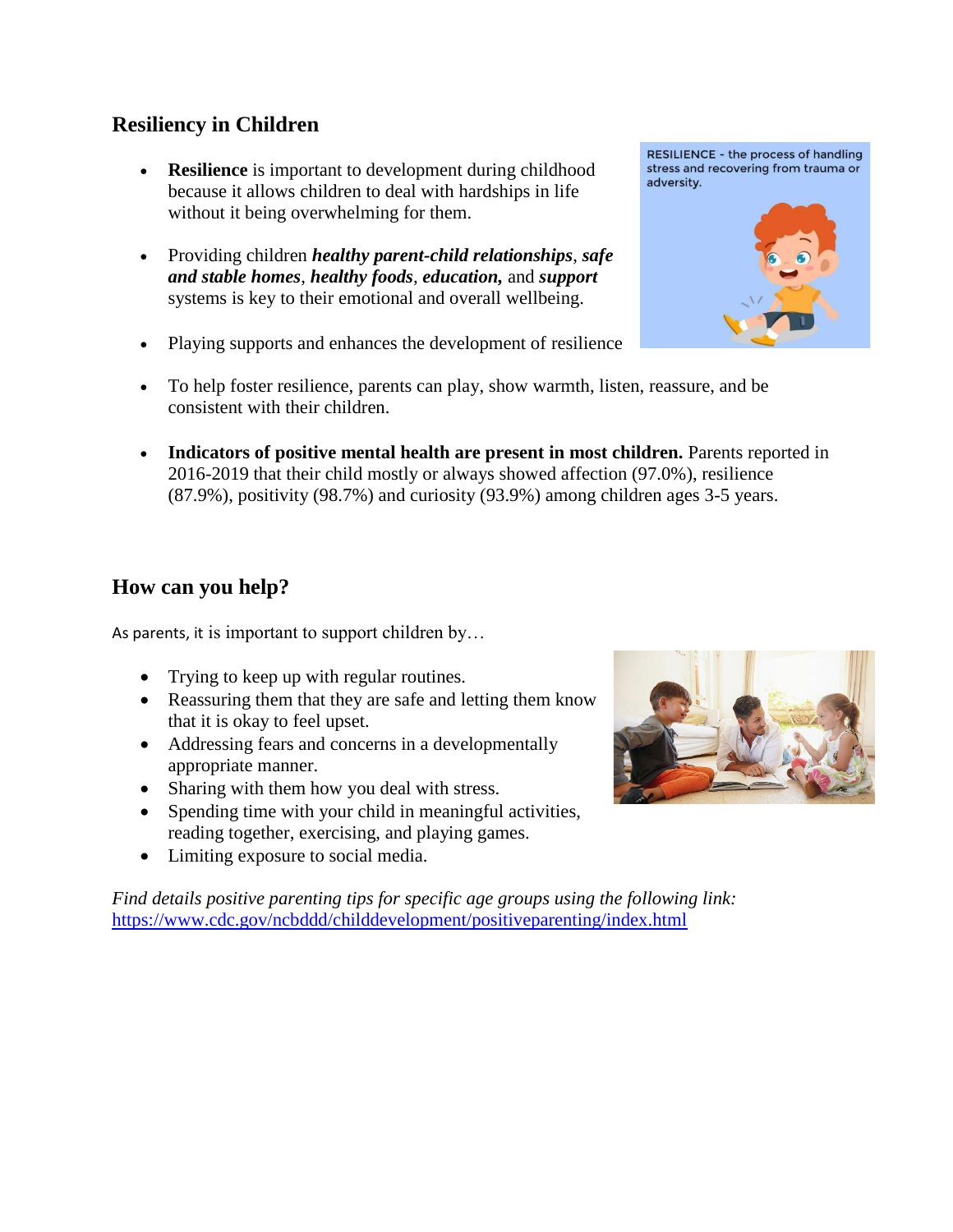## **Resiliency in Children**

- **Resilience** is important to development during childhood because it allows children to deal with hardships in life without it being overwhelming for them.
- Providing children *healthy parent-child relationships*, *safe and stable homes*, *healthy foods*, *education,* and *support*  systems is key to their emotional and overall wellbeing.
- Playing supports and enhances the development of resilience
- To help foster resilience, parents can play, show warmth, listen, reassure, and be consistent with their children.
- **Indicators of positive mental health are present in most children.** Parents reported in 2016-2019 that their child mostly or always showed affection (97.0%), resilience (87.9%), positivity (98.7%) and curiosity (93.9%) among children ages 3-5 years.

# **How can you help?**

As parents, it is important to support children by…

- Trying to keep up with regular routines.
- Reassuring them that they are safe and letting them know that it is okay to feel upset.
- Addressing fears and concerns in a developmentally appropriate manner.
- Sharing with them how you deal with stress.
- Spending time with your child in meaningful activities, reading together, exercising, and playing games.
- Limiting exposure to social media.

*Find details positive parenting tips for specific age groups using the following link:* <https://www.cdc.gov/ncbddd/childdevelopment/positiveparenting/index.html>



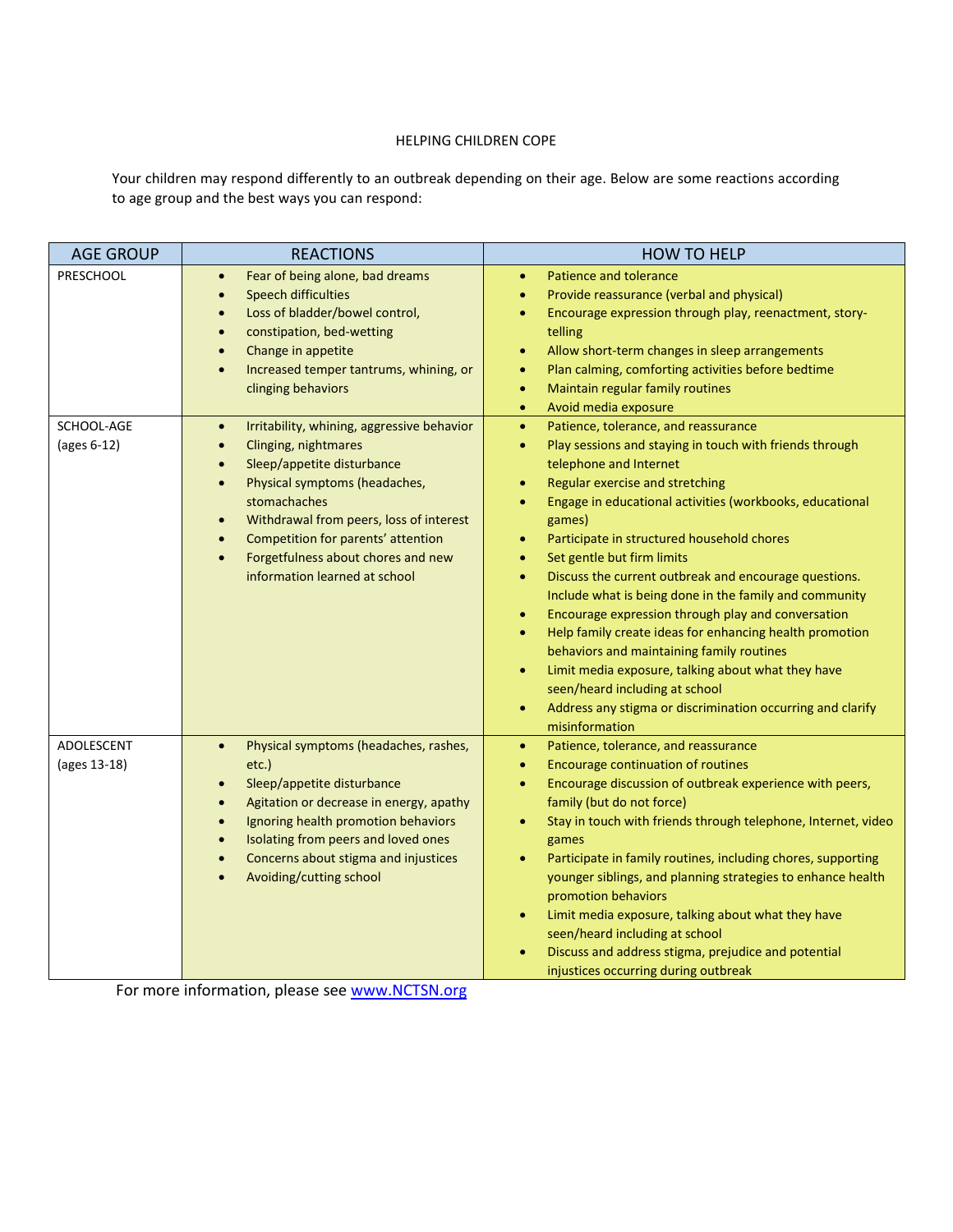#### HELPING CHILDREN COPE

Your children may respond differently to an outbreak depending on their age. Below are some reactions according to age group and the best ways you can respond:

| <b>AGE GROUP</b>           | <b>REACTIONS</b>                                                                                                                                                                                                                                                                                                                                                                                     | <b>HOW TO HELP</b>                                                                                                                                                                                                                                                                                                                                                                                                                                                                                                                                                                                                                                                                                                                                                                                                                                                                                                     |
|----------------------------|------------------------------------------------------------------------------------------------------------------------------------------------------------------------------------------------------------------------------------------------------------------------------------------------------------------------------------------------------------------------------------------------------|------------------------------------------------------------------------------------------------------------------------------------------------------------------------------------------------------------------------------------------------------------------------------------------------------------------------------------------------------------------------------------------------------------------------------------------------------------------------------------------------------------------------------------------------------------------------------------------------------------------------------------------------------------------------------------------------------------------------------------------------------------------------------------------------------------------------------------------------------------------------------------------------------------------------|
| PRESCHOOL                  | Fear of being alone, bad dreams<br>$\bullet$<br><b>Speech difficulties</b><br>$\bullet$<br>Loss of bladder/bowel control,<br>$\bullet$<br>constipation, bed-wetting<br>$\bullet$<br>Change in appetite<br>$\bullet$<br>Increased temper tantrums, whining, or<br>$\bullet$<br>clinging behaviors                                                                                                     | <b>Patience and tolerance</b><br>$\bullet$<br>Provide reassurance (verbal and physical)<br>$\bullet$<br>Encourage expression through play, reenactment, story-<br>$\bullet$<br>telling<br>Allow short-term changes in sleep arrangements<br>$\bullet$<br>Plan calming, comforting activities before bedtime<br>$\bullet$<br>Maintain regular family routines<br>$\bullet$<br>Avoid media exposure<br>$\bullet$                                                                                                                                                                                                                                                                                                                                                                                                                                                                                                         |
| SCHOOL-AGE<br>(ages 6-12)  | Irritability, whining, aggressive behavior<br>$\bullet$<br>Clinging, nightmares<br>$\bullet$<br>Sleep/appetite disturbance<br>$\bullet$<br>Physical symptoms (headaches,<br>$\bullet$<br>stomachaches<br>Withdrawal from peers, loss of interest<br>$\bullet$<br>Competition for parents' attention<br>$\bullet$<br>Forgetfulness about chores and new<br>$\bullet$<br>information learned at school | Patience, tolerance, and reassurance<br>$\bullet$<br>Play sessions and staying in touch with friends through<br>$\bullet$<br>telephone and Internet<br>Regular exercise and stretching<br>$\bullet$<br>Engage in educational activities (workbooks, educational<br>$\bullet$<br>games)<br>Participate in structured household chores<br>$\bullet$<br>Set gentle but firm limits<br>$\bullet$<br>Discuss the current outbreak and encourage questions.<br>$\bullet$<br>Include what is being done in the family and community<br>Encourage expression through play and conversation<br>$\bullet$<br>Help family create ideas for enhancing health promotion<br>$\bullet$<br>behaviors and maintaining family routines<br>Limit media exposure, talking about what they have<br>$\bullet$<br>seen/heard including at school<br>Address any stigma or discrimination occurring and clarify<br>$\bullet$<br>misinformation |
| ADOLESCENT<br>(ages 13-18) | Physical symptoms (headaches, rashes,<br>$\bullet$<br>etc.)<br>Sleep/appetite disturbance<br>$\bullet$<br>Agitation or decrease in energy, apathy<br>$\bullet$<br>Ignoring health promotion behaviors<br>$\bullet$<br>Isolating from peers and loved ones<br>$\bullet$<br>Concerns about stigma and injustices<br>$\bullet$<br>Avoiding/cutting school<br>$\bullet$                                  | Patience, tolerance, and reassurance<br>$\bullet$<br><b>Encourage continuation of routines</b><br>$\bullet$<br>Encourage discussion of outbreak experience with peers,<br>$\bullet$<br>family (but do not force)<br>Stay in touch with friends through telephone, Internet, video<br>$\bullet$<br>games<br>Participate in family routines, including chores, supporting<br>$\bullet$<br>younger siblings, and planning strategies to enhance health<br>promotion behaviors<br>Limit media exposure, talking about what they have<br>$\bullet$<br>seen/heard including at school<br>Discuss and address stigma, prejudice and potential<br>injustices occurring during outbreak                                                                                                                                                                                                                                         |

For more information, please see [www.NCTSN.org](http://www.nctsn.org/)